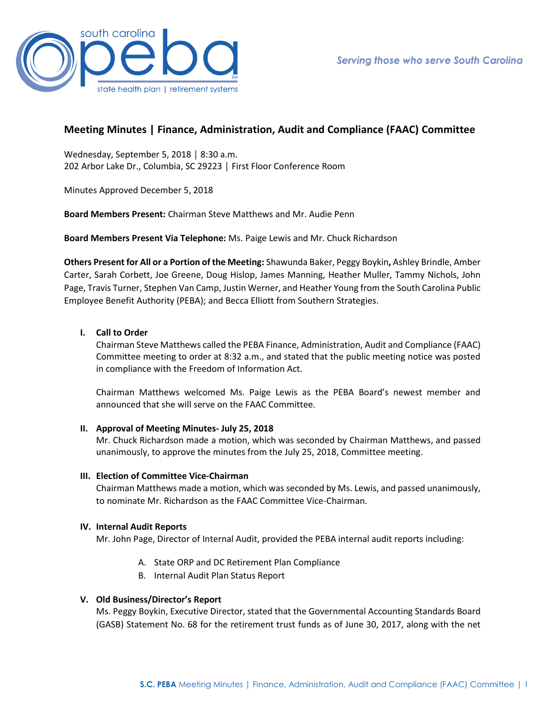

# **Meeting Minutes | Finance, Administration, Audit and Compliance (FAAC) Committee**

Wednesday, September 5, 2018 │ 8:30 a.m. 202 Arbor Lake Dr., Columbia, SC 29223 │ First Floor Conference Room

Minutes Approved December 5, 2018

**Board Members Present:** Chairman Steve Matthews and Mr. Audie Penn

**Board Members Present Via Telephone:** Ms. Paige Lewis and Mr. Chuck Richardson

**Others Present for All or a Portion of the Meeting:** Shawunda Baker, Peggy Boykin**,** Ashley Brindle, Amber Carter, Sarah Corbett, Joe Greene, Doug Hislop, James Manning, Heather Muller, Tammy Nichols, John Page, Travis Turner, Stephen Van Camp, Justin Werner, and Heather Young from the South Carolina Public Employee Benefit Authority (PEBA); and Becca Elliott from Southern Strategies.

### **I. Call to Order**

Chairman Steve Matthews called the PEBA Finance, Administration, Audit and Compliance (FAAC) Committee meeting to order at 8:32 a.m., and stated that the public meeting notice was posted in compliance with the Freedom of Information Act.

Chairman Matthews welcomed Ms. Paige Lewis as the PEBA Board's newest member and announced that she will serve on the FAAC Committee.

#### **II. Approval of Meeting Minutes- July 25, 2018**

Mr. Chuck Richardson made a motion, which was seconded by Chairman Matthews, and passed unanimously, to approve the minutes from the July 25, 2018, Committee meeting.

#### **III. Election of Committee Vice-Chairman**

Chairman Matthews made a motion, which was seconded by Ms. Lewis, and passed unanimously, to nominate Mr. Richardson as the FAAC Committee Vice-Chairman.

#### **IV. Internal Audit Reports**

Mr. John Page, Director of Internal Audit, provided the PEBA internal audit reports including:

- A. State ORP and DC Retirement Plan Compliance
- B. Internal Audit Plan Status Report

## **V. Old Business/Director's Report**

Ms. Peggy Boykin, Executive Director, stated that the Governmental Accounting Standards Board (GASB) Statement No. 68 for the retirement trust funds as of June 30, 2017, along with the net